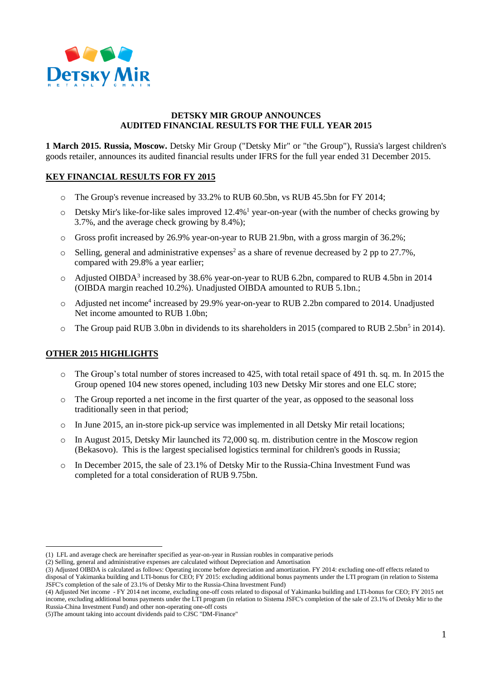

# **DETSKY MIR GROUP ANNOUNCES AUDITED FINANCIAL RESULTS FOR THE FULL YEAR 2015**

**1 March 2015. Russia, Moscow.** Detsky Mir Group ("Detsky Mir" or "the Group"), Russia's largest children's goods retailer, announces its audited financial results under IFRS for the full year ended 31 December 2015.

## **KEY FINANCIAL RESULTS FOR FY 2015**

- o The Group's revenue increased by 33.2% to RUB 60.5bn, vs RUB 45.5bn for FY 2014;
- $\circ$  Detsky Mir's like-for-like sales improved 12.4%<sup>1</sup> year-on-year (with the number of checks growing by 3.7%, and the average check growing by 8.4%);
- o Gross profit increased by 26.9% year-on-year to RUB 21.9bn, with a gross margin of 36.2%;
- $\circ$  Selling, general and administrative expenses<sup>2</sup> as a share of revenue decreased by 2 pp to 27.7%, compared with 29.8% a year earlier;
- o Adjusted OIBDA<sup>3</sup> increased by 38.6% year-on-year to RUB 6.2bn, compared to RUB 4.5bn in 2014 (OIBDA margin reached 10.2%). Unadjusted OIBDA amounted to RUB 5.1bn.;
- o Adjusted net income<sup>4</sup> increased by 29.9% year-on-year to RUB 2.2bn compared to 2014. Unadjusted Net income amounted to RUB 1.0bn;
- $\circ$  The Group paid RUB 3.0bn in dividends to its shareholders in 2015 (compared to RUB 2.5bn<sup>5</sup> in 2014).

#### **OTHER 2015 HIGHLIGHTS**

1

- o The Group's total number of stores increased to 425, with total retail space of 491 th. sq. m. In 2015 the Group opened 104 new stores opened, including 103 new Detsky Mir stores and one ELC store;
- o The Group reported a net income in the first quarter of the year, as opposed to the seasonal loss traditionally seen in that period;
- $\circ$  In June 2015, an in-store pick-up service was implemented in all Detsky Mir retail locations;
- $\circ$  In August 2015, Detsky Mir launched its 72,000 sq. m. distribution centre in the Moscow region (Bekasovo). This is the largest specialised logistics terminal for children's goods in Russia;
- o In December 2015, the sale of 23.1% of Detsky Mir to the Russia-China Investment Fund was completed for a total consideration of RUB 9.75bn.

<sup>(1)</sup> LFL and average check are hereinafter specified as year-on-year in Russian roubles in comparative periods

<sup>(2)</sup> Selling, general and administrative expenses are calculated without Depreciation and Amortisation

<sup>(3)</sup> Adjusted OIBDA is calculated as follows: Operating income before depreciation and amortization. FY 2014: excluding one-off effects related to disposal of Yakimanka building and LTI-bonus for CEO; FY 2015: excluding additional bonus payments under the LTI program (in relation to Sistema JSFC's completion of the sale of 23.1% of Detsky Mir to the Russia-China Investment Fund)

<sup>(4)</sup> Adjusted Net income - FY 2014 net income, excluding one-off costs related to disposal of Yakimanka building and LTI-bonus for CEO; FY 2015 net income, excluding additional bonus payments under the LTI program (in relation to Sistema JSFC's completion of the sale of 23.1% of Detsky Mir to the Russia-China Investment Fund) and other non-operating one-off costs

<sup>(5)</sup>The amount taking into account dividends paid to CJSC "DM-Finance"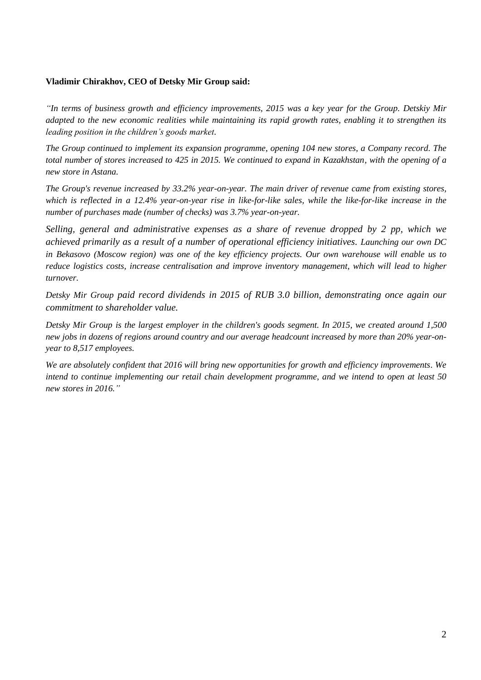# **Vladimir Chirakhov, CEO of Detsky Mir Group said:**

*"In terms of business growth and efficiency improvements, 2015 was a key year for the Group. Detskiy Mir adapted to the new economic realities while maintaining its rapid growth rates, enabling it to strengthen its leading position in the children's goods market.*

*The Group continued to implement its expansion programme, opening 104 new stores, a Company record. The total number of stores increased to 425 in 2015. We continued to expand in Kazakhstan, with the opening of a new store in Astana.*

*The Group's revenue increased by 33.2% year-on-year. The main driver of revenue came from existing stores, which is reflected in a 12.4% year-on-year rise in like-for-like sales, while the like-for-like increase in the number of purchases made (number of checks) was 3.7% year-on-year.*

*Selling, general and administrative expenses as a share of revenue dropped by 2 pp, which we achieved primarily as a result of a number of operational efficiency initiatives. Launching our own DC in Bekasovo (Moscow region) was one of the key efficiency projects. Our own warehouse will enable us to reduce logistics costs, increase centralisation and improve inventory management, which will lead to higher turnover.*

*Detsky Mir Group paid record dividends in 2015 of RUB 3.0 billion, demonstrating once again our commitment to shareholder value.*

*Detsky Mir Group is the largest employer in the children's goods segment. In 2015, we created around 1,500 new jobs in dozens of regions around country and our average headcount increased by more than 20% year-onyear to 8,517 employees.*

*We are absolutely confident that 2016 will bring new opportunities for growth and efficiency improvements. We intend to continue implementing our retail chain development programme, and we intend to open at least 50 new stores in 2016."*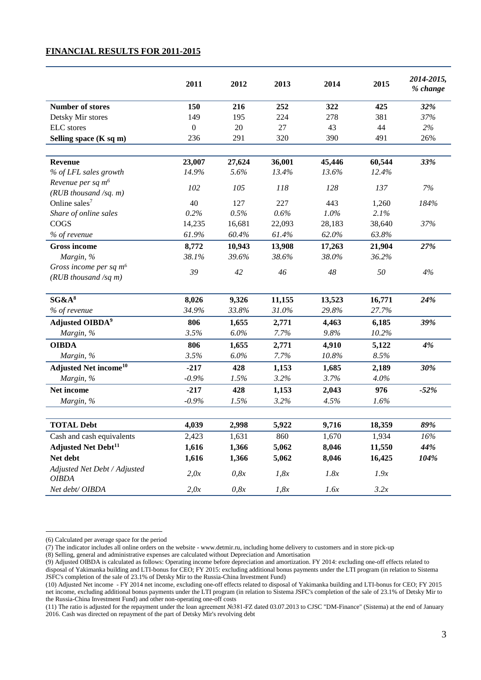### **FINANCIAL RESULTS FOR 2011-2015**

|                                                          | 2011         | 2012   | 2013   | 2014   | 2015   | 2014-2015,<br>% change |
|----------------------------------------------------------|--------------|--------|--------|--------|--------|------------------------|
| <b>Number of stores</b>                                  | 150          | 216    | 252    | 322    | 425    | 32%                    |
| Detsky Mir stores                                        | 149          | 195    | 224    | 278    | 381    | 37%                    |
| <b>ELC</b> stores                                        | $\mathbf{0}$ | 20     | 27     | 43     | 44     | 2%                     |
| Selling space (K sq m)                                   | 236          | 291    | 320    | 390    | 491    | 26%                    |
|                                                          |              |        |        |        |        |                        |
| Revenue                                                  | 23,007       | 27,624 | 36,001 | 45,446 | 60,544 | 33%                    |
| % of LFL sales growth                                    | 14.9%        | 5.6%   | 13.4%  | 13.6%  | 12.4%  |                        |
| Revenue per sq m <sup>6</sup><br>$(RUB$ thousand /sq. m) | 102          | 105    | 118    | 128    | 137    | 7%                     |
| Online sales <sup>7</sup>                                | 40           | 127    | 227    | 443    | 1,260  | 184%                   |
| Share of online sales                                    | 0.2%         | 0.5%   | 0.6%   | 1.0%   | 2.1%   |                        |
| COGS                                                     | 14,235       | 16,681 | 22,093 | 28,183 | 38,640 | 37%                    |
| % of revenue                                             | 61.9%        | 60.4%  | 61.4%  | 62.0%  | 63.8%  |                        |
| <b>Gross income</b>                                      | 8,772        | 10,943 | 13,908 | 17,263 | 21,904 | 27%                    |
| Margin, %                                                | 38.1%        | 39.6%  | 38.6%  | 38.0%  | 36.2%  |                        |
| Gross income per sq $m6$<br>$(RUB$ thousand /sq m)       | 39           | 42     | 46     | 48     | 50     | 4%                     |
| SG&A <sup>8</sup>                                        | 8,026        | 9,326  | 11,155 | 13,523 | 16,771 | 24%                    |
| % of revenue                                             | 34.9%        | 33.8%  | 31.0%  | 29.8%  | 27.7%  |                        |
|                                                          |              |        |        |        |        |                        |
| Adjusted OIBDA <sup>9</sup>                              | 806          | 1,655  | 2,771  | 4,463  | 6,185  | 39%                    |
| Margin, %                                                | 3.5%         | 6.0%   | 7.7%   | 9.8%   | 10.2%  |                        |
| <b>OIBDA</b>                                             | 806          | 1,655  | 2,771  | 4,910  | 5,122  | 4%                     |
| Margin, %                                                | 3.5%         | 6.0%   | 7.7%   | 10.8%  | 8.5%   |                        |
| <b>Adjusted Net income<sup>10</sup></b>                  | $-217$       | 428    | 1,153  | 1,685  | 2,189  | 30%                    |
| Margin, %                                                | $-0.9%$      | 1.5%   | 3.2%   | 3.7%   | 4.0%   |                        |
| Net income                                               | $-217$       | 428    | 1,153  | 2,043  | 976    | $-52%$                 |
| Margin, %                                                | $-0.9%$      | 1.5%   | 3.2%   | 4.5%   | 1.6%   |                        |
|                                                          |              |        |        |        |        |                        |
| <b>TOTAL Debt</b>                                        | 4,039        | 2,998  | 5,922  | 9,716  | 18,359 | 89%                    |
| Cash and cash equivalents                                | 2,423        | 1,631  | 860    | 1,670  | 1,934  | $16\%$                 |
| <b>Adjusted Net Debt<sup>11</sup></b>                    | 1,616        | 1,366  | 5,062  | 8,046  | 11,550 | 44%                    |
| Net debt                                                 | 1,616        | 1,366  | 5,062  | 8,046  | 16,425 | 104%                   |
| Adjusted Net Debt / Adjusted<br><b>OIBDA</b>             | 2,0x         | 0,8x   | 1,8x   | 1.8x   | 1.9x   |                        |
| Net debt/ OIBDA                                          | 2,0x         | 0,8x   | 1,8x   | 1.6x   | 3.2x   |                        |

1

<sup>(6)</sup> Calculated per average space for the period

<sup>(7)</sup> The indicator includes all online orders on the website - www.detmir.ru, including home delivery to customers and in store pick-up

<sup>(8)</sup> Selling, general and administrative expenses are calculated without Depreciation and Amortisation

<sup>(9)</sup> Adjusted OIBDA is calculated as follows: Operating income before depreciation and amortization. FY 2014: excluding one-off effects related to disposal of Yakimanka building and LTI-bonus for CEO; FY 2015: excluding additional bonus payments under the LTI program (in relation to Sistema JSFC's completion of the sale of 23.1% of Detsky Mir to the Russia-China Investment Fund)

<sup>(10)</sup> Adjusted Net income - FY 2014 net income, excluding one-off effects related to disposal of Yakimanka building and LTI-bonus for CEO; FY 2015 net income, excluding additional bonus payments under the LTI program (in relation to Sistema JSFC's completion of the sale of 23.1% of Detsky Mir to the Russia-China Investment Fund) and other non-operating one-off costs

<sup>(11)</sup> The ratio is adjusted for the repayment under the loan agreement №381-FZ dated 03.07.2013 to CJSC "DM-Finance" (Sistema) at the end of January 2016. Cash was directed on repayment of the part of Detsky Mir's revolving debt